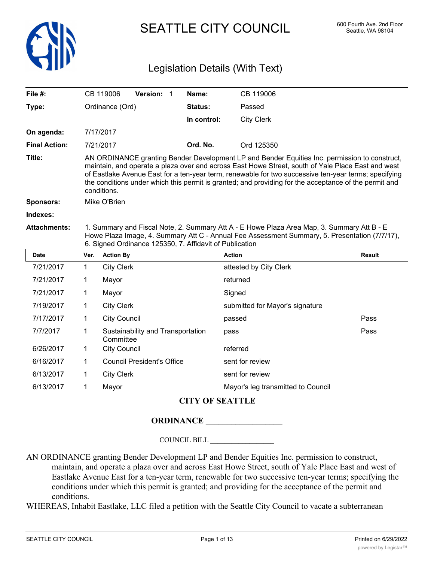

SEATTLE CITY COUNCIL 600 Fourth Ave. 2nd Floor

# Legislation Details (With Text)

|                                                                                                                                                                                                                                                                                                                                                                                                                                    |                     |                                     |                                                                                              | Name:          | CB 119006                         |               |
|------------------------------------------------------------------------------------------------------------------------------------------------------------------------------------------------------------------------------------------------------------------------------------------------------------------------------------------------------------------------------------------------------------------------------------|---------------------|-------------------------------------|----------------------------------------------------------------------------------------------|----------------|-----------------------------------|---------------|
|                                                                                                                                                                                                                                                                                                                                                                                                                                    |                     |                                     |                                                                                              | <b>Status:</b> | Passed                            |               |
|                                                                                                                                                                                                                                                                                                                                                                                                                                    |                     |                                     |                                                                                              |                | <b>City Clerk</b>                 |               |
|                                                                                                                                                                                                                                                                                                                                                                                                                                    |                     |                                     |                                                                                              |                |                                   |               |
|                                                                                                                                                                                                                                                                                                                                                                                                                                    |                     |                                     |                                                                                              | Ord. No.       | Ord 125350                        |               |
| AN ORDINANCE granting Bender Development LP and Bender Equities Inc. permission to construct,<br>maintain, and operate a plaza over and across East Howe Street, south of Yale Place East and west<br>of Eastlake Avenue East for a ten-year term, renewable for two successive ten-year terms; specifying<br>the conditions under which this permit is granted; and providing for the acceptance of the permit and<br>conditions. |                     |                                     |                                                                                              |                |                                   |               |
| Mike O'Brien                                                                                                                                                                                                                                                                                                                                                                                                                       |                     |                                     |                                                                                              |                |                                   |               |
|                                                                                                                                                                                                                                                                                                                                                                                                                                    |                     |                                     |                                                                                              |                |                                   |               |
| 1. Summary and Fiscal Note, 2. Summary Att A - E Howe Plaza Area Map, 3. Summary Att B - E<br>Howe Plaza Image, 4. Summary Att C - Annual Fee Assessment Summary, 5. Presentation (7/7/17),<br>6. Signed Ordinance 125350, 7. Affidavit of Publication                                                                                                                                                                             |                     |                                     |                                                                                              |                |                                   |               |
| Ver.                                                                                                                                                                                                                                                                                                                                                                                                                               |                     |                                     |                                                                                              |                | <b>Action</b>                     | <b>Result</b> |
| 1                                                                                                                                                                                                                                                                                                                                                                                                                                  |                     |                                     |                                                                                              |                | attested by City Clerk            |               |
| 1                                                                                                                                                                                                                                                                                                                                                                                                                                  | Mayor               |                                     |                                                                                              | returned       |                                   |               |
| 1                                                                                                                                                                                                                                                                                                                                                                                                                                  | Mayor               |                                     |                                                                                              | Signed         |                                   |               |
| 1                                                                                                                                                                                                                                                                                                                                                                                                                                  | <b>City Clerk</b>   |                                     | submitted for Mayor's signature                                                              |                |                                   |               |
| 1                                                                                                                                                                                                                                                                                                                                                                                                                                  | <b>City Council</b> |                                     |                                                                                              | passed         | Pass                              |               |
| 1                                                                                                                                                                                                                                                                                                                                                                                                                                  |                     | pass                                |                                                                                              | Pass           |                                   |               |
| 1                                                                                                                                                                                                                                                                                                                                                                                                                                  |                     |                                     |                                                                                              |                | referred                          |               |
| 1                                                                                                                                                                                                                                                                                                                                                                                                                                  |                     |                                     |                                                                                              |                |                                   |               |
|                                                                                                                                                                                                                                                                                                                                                                                                                                    |                     | <b>Council President's Office</b>   |                                                                                              |                | sent for review                   |               |
| 1                                                                                                                                                                                                                                                                                                                                                                                                                                  | <b>City Clerk</b>   |                                     |                                                                                              |                | sent for review                   |               |
|                                                                                                                                                                                                                                                                                                                                                                                                                                    |                     | CB 119006<br>7/17/2017<br>7/21/2017 | Ordinance (Ord)<br><b>Action By</b><br><b>City Clerk</b><br>Committee<br><b>City Council</b> | Version: 1     | Sustainability and Transportation | In control:   |

## **CITY OF SEATTLE**

### **ORDINANCE \_\_\_\_\_\_\_\_\_\_\_\_\_\_\_\_\_\_**

COUNCIL BILL \_\_\_\_\_\_\_\_\_\_\_\_\_\_\_\_\_\_

AN ORDINANCE granting Bender Development LP and Bender Equities Inc. permission to construct, maintain, and operate a plaza over and across East Howe Street, south of Yale Place East and west of Eastlake Avenue East for a ten-year term, renewable for two successive ten-year terms; specifying the conditions under which this permit is granted; and providing for the acceptance of the permit and conditions.

WHEREAS, Inhabit Eastlake, LLC filed a petition with the Seattle City Council to vacate a subterranean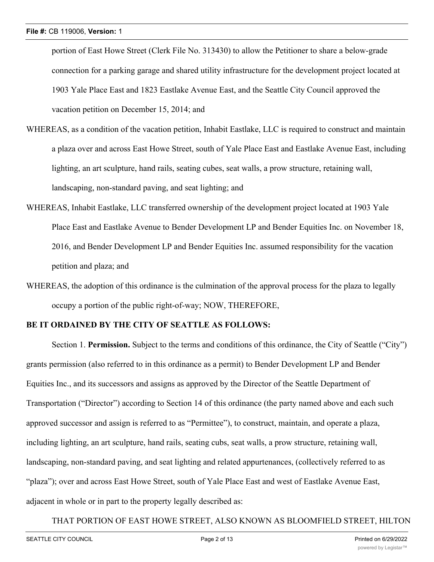portion of East Howe Street (Clerk File No. 313430) to allow the Petitioner to share a below-grade connection for a parking garage and shared utility infrastructure for the development project located at 1903 Yale Place East and 1823 Eastlake Avenue East, and the Seattle City Council approved the vacation petition on December 15, 2014; and

- WHEREAS, as a condition of the vacation petition, Inhabit Eastlake, LLC is required to construct and maintain a plaza over and across East Howe Street, south of Yale Place East and Eastlake Avenue East, including lighting, an art sculpture, hand rails, seating cubes, seat walls, a prow structure, retaining wall, landscaping, non-standard paving, and seat lighting; and
- WHEREAS, Inhabit Eastlake, LLC transferred ownership of the development project located at 1903 Yale Place East and Eastlake Avenue to Bender Development LP and Bender Equities Inc. on November 18, 2016, and Bender Development LP and Bender Equities Inc. assumed responsibility for the vacation petition and plaza; and
- WHEREAS, the adoption of this ordinance is the culmination of the approval process for the plaza to legally occupy a portion of the public right-of-way; NOW, THEREFORE,

### **BE IT ORDAINED BY THE CITY OF SEATTLE AS FOLLOWS:**

Section 1. **Permission.** Subject to the terms and conditions of this ordinance, the City of Seattle ("City") grants permission (also referred to in this ordinance as a permit) to Bender Development LP and Bender Equities Inc., and its successors and assigns as approved by the Director of the Seattle Department of Transportation ("Director") according to Section 14 of this ordinance (the party named above and each such approved successor and assign is referred to as "Permittee"), to construct, maintain, and operate a plaza, including lighting, an art sculpture, hand rails, seating cubs, seat walls, a prow structure, retaining wall, landscaping, non-standard paving, and seat lighting and related appurtenances, (collectively referred to as "plaza"); over and across East Howe Street, south of Yale Place East and west of Eastlake Avenue East, adjacent in whole or in part to the property legally described as:

#### THAT PORTION OF EAST HOWE STREET, ALSO KNOWN AS BLOOMFIELD STREET, HILTON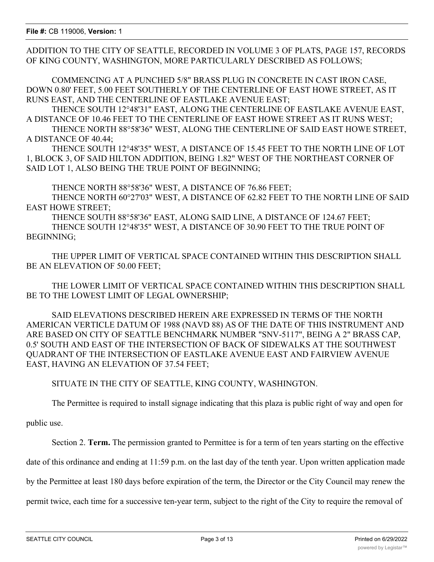ADDITION TO THE CITY OF SEATTLE, RECORDED IN VOLUME 3 OF PLATS, PAGE 157, RECORDS OF KING COUNTY, WASHINGTON, MORE PARTICULARLY DESCRIBED AS FOLLOWS;

COMMENCING AT A PUNCHED 5/8" BRASS PLUG IN CONCRETE IN CAST IRON CASE, DOWN 0.80' FEET, 5.00 FEET SOUTHERLY OF THE CENTERLINE OF EAST HOWE STREET, AS IT RUNS EAST, AND THE CENTERLINE OF EASTLAKE AVENUE EAST;

THENCE SOUTH 12°48'31" EAST, ALONG THE CENTERLINE OF EASTLAKE AVENUE EAST, A DISTANCE OF 10.46 FEET TO THE CENTERLINE OF EAST HOWE STREET AS IT RUNS WEST;

THENCE NORTH 88°58'36" WEST, ALONG THE CENTERLINE OF SAID EAST HOWE STREET, A DISTANCE OF 40.44;

THENCE SOUTH 12°48'35" WEST, A DISTANCE OF 15.45 FEET TO THE NORTH LINE OF LOT 1, BLOCK 3, OF SAID HILTON ADDITION, BEING 1.82" WEST OF THE NORTHEAST CORNER OF SAID LOT 1, ALSO BEING THE TRUE POINT OF BEGINNING;

THENCE NORTH 88°58'36" WEST, A DISTANCE OF 76.86 FEET;

THENCE NORTH 60°27'03" WEST, A DISTANCE OF 62.82 FEET TO THE NORTH LINE OF SAID EAST HOWE STREET;

THENCE SOUTH 88°58'36" EAST, ALONG SAID LINE, A DISTANCE OF 124.67 FEET; THENCE SOUTH 12°48'35" WEST, A DISTANCE OF 30.90 FEET TO THE TRUE POINT OF BEGINNING;

THE UPPER LIMIT OF VERTICAL SPACE CONTAINED WITHIN THIS DESCRIPTION SHALL BE AN ELEVATION OF 50.00 FEET;

THE LOWER LIMIT OF VERTICAL SPACE CONTAINED WITHIN THIS DESCRIPTION SHALL BE TO THE LOWEST LIMIT OF LEGAL OWNERSHIP;

SAID ELEVATIONS DESCRIBED HEREIN ARE EXPRESSED IN TERMS OF THE NORTH AMERICAN VERTICLE DATUM OF 1988 (NAVD 88) AS OF THE DATE OF THIS INSTRUMENT AND ARE BASED ON CITY OF SEATTLE BENCHMARK NUMBER "SNV-5117", BEING A 2" BRASS CAP, 0.5' SOUTH AND EAST OF THE INTERSECTION OF BACK OF SIDEWALKS AT THE SOUTHWEST QUADRANT OF THE INTERSECTION OF EASTLAKE AVENUE EAST AND FAIRVIEW AVENUE EAST, HAVING AN ELEVATION OF 37.54 FEET;

SITUATE IN THE CITY OF SEATTLE, KING COUNTY, WASHINGTON.

The Permittee is required to install signage indicating that this plaza is public right of way and open for

public use.

Section 2. **Term.** The permission granted to Permittee is for a term of ten years starting on the effective

date of this ordinance and ending at 11:59 p.m. on the last day of the tenth year. Upon written application made

by the Permittee at least 180 days before expiration of the term, the Director or the City Council may renew the

permit twice, each time for a successive ten-year term, subject to the right of the City to require the removal of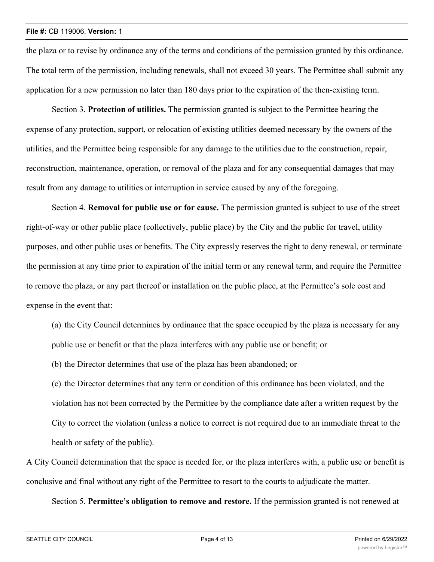the plaza or to revise by ordinance any of the terms and conditions of the permission granted by this ordinance. The total term of the permission, including renewals, shall not exceed 30 years. The Permittee shall submit any application for a new permission no later than 180 days prior to the expiration of the then-existing term.

Section 3. **Protection of utilities.** The permission granted is subject to the Permittee bearing the expense of any protection, support, or relocation of existing utilities deemed necessary by the owners of the utilities, and the Permittee being responsible for any damage to the utilities due to the construction, repair, reconstruction, maintenance, operation, or removal of the plaza and for any consequential damages that may result from any damage to utilities or interruption in service caused by any of the foregoing.

Section 4. **Removal for public use or for cause.** The permission granted is subject to use of the street right-of-way or other public place (collectively, public place) by the City and the public for travel, utility purposes, and other public uses or benefits. The City expressly reserves the right to deny renewal, or terminate the permission at any time prior to expiration of the initial term or any renewal term, and require the Permittee to remove the plaza, or any part thereof or installation on the public place, at the Permittee's sole cost and expense in the event that:

(a) the City Council determines by ordinance that the space occupied by the plaza is necessary for any public use or benefit or that the plaza interferes with any public use or benefit; or

(b) the Director determines that use of the plaza has been abandoned; or

(c) the Director determines that any term or condition of this ordinance has been violated, and the violation has not been corrected by the Permittee by the compliance date after a written request by the City to correct the violation (unless a notice to correct is not required due to an immediate threat to the health or safety of the public).

A City Council determination that the space is needed for, or the plaza interferes with, a public use or benefit is conclusive and final without any right of the Permittee to resort to the courts to adjudicate the matter.

Section 5. **Permittee's obligation to remove and restore.** If the permission granted is not renewed at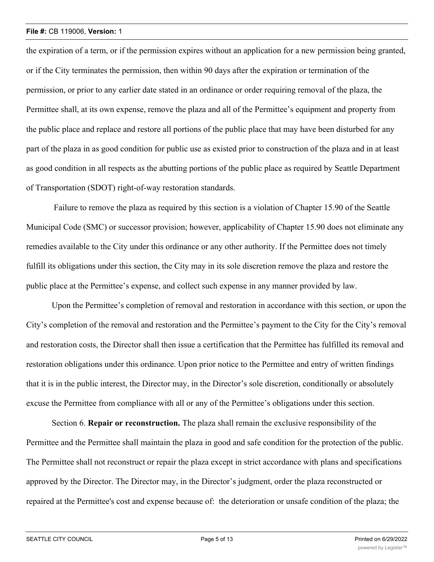#### **File #:** CB 119006, **Version:** 1

the expiration of a term, or if the permission expires without an application for a new permission being granted, or if the City terminates the permission, then within 90 days after the expiration or termination of the permission, or prior to any earlier date stated in an ordinance or order requiring removal of the plaza, the Permittee shall, at its own expense, remove the plaza and all of the Permittee's equipment and property from the public place and replace and restore all portions of the public place that may have been disturbed for any part of the plaza in as good condition for public use as existed prior to construction of the plaza and in at least as good condition in all respects as the abutting portions of the public place as required by Seattle Department of Transportation (SDOT) right-of-way restoration standards.

 Failure to remove the plaza as required by this section is a violation of Chapter 15.90 of the Seattle Municipal Code (SMC) or successor provision; however, applicability of Chapter 15.90 does not eliminate any remedies available to the City under this ordinance or any other authority. If the Permittee does not timely fulfill its obligations under this section, the City may in its sole discretion remove the plaza and restore the public place at the Permittee's expense, and collect such expense in any manner provided by law.

Upon the Permittee's completion of removal and restoration in accordance with this section, or upon the City's completion of the removal and restoration and the Permittee's payment to the City for the City's removal and restoration costs, the Director shall then issue a certification that the Permittee has fulfilled its removal and restoration obligations under this ordinance. Upon prior notice to the Permittee and entry of written findings that it is in the public interest, the Director may, in the Director's sole discretion, conditionally or absolutely excuse the Permittee from compliance with all or any of the Permittee's obligations under this section.

Section 6. **Repair or reconstruction.** The plaza shall remain the exclusive responsibility of the Permittee and the Permittee shall maintain the plaza in good and safe condition for the protection of the public. The Permittee shall not reconstruct or repair the plaza except in strict accordance with plans and specifications approved by the Director. The Director may, in the Director's judgment, order the plaza reconstructed or repaired at the Permittee's cost and expense because of: the deterioration or unsafe condition of the plaza; the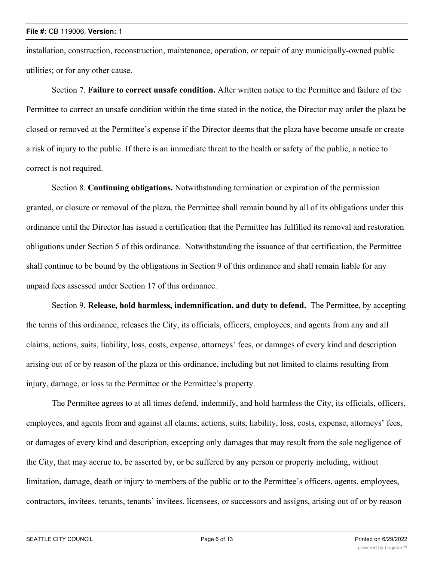installation, construction, reconstruction, maintenance, operation, or repair of any municipally-owned public utilities; or for any other cause.

Section 7. **Failure to correct unsafe condition.** After written notice to the Permittee and failure of the Permittee to correct an unsafe condition within the time stated in the notice, the Director may order the plaza be closed or removed at the Permittee's expense if the Director deems that the plaza have become unsafe or create a risk of injury to the public. If there is an immediate threat to the health or safety of the public, a notice to correct is not required.

Section 8. **Continuing obligations.** Notwithstanding termination or expiration of the permission granted, or closure or removal of the plaza, the Permittee shall remain bound by all of its obligations under this ordinance until the Director has issued a certification that the Permittee has fulfilled its removal and restoration obligations under Section 5 of this ordinance. Notwithstanding the issuance of that certification, the Permittee shall continue to be bound by the obligations in Section 9 of this ordinance and shall remain liable for any unpaid fees assessed under Section 17 of this ordinance.

Section 9. **Release, hold harmless, indemnification, and duty to defend.** The Permittee, by accepting the terms of this ordinance, releases the City, its officials, officers, employees, and agents from any and all claims, actions, suits, liability, loss, costs, expense, attorneys' fees, or damages of every kind and description arising out of or by reason of the plaza or this ordinance, including but not limited to claims resulting from injury, damage, or loss to the Permittee or the Permittee's property.

The Permittee agrees to at all times defend, indemnify, and hold harmless the City, its officials, officers, employees, and agents from and against all claims, actions, suits, liability, loss, costs, expense, attorneys' fees, or damages of every kind and description, excepting only damages that may result from the sole negligence of the City, that may accrue to, be asserted by, or be suffered by any person or property including, without limitation, damage, death or injury to members of the public or to the Permittee's officers, agents, employees, contractors, invitees, tenants, tenants' invitees, licensees, or successors and assigns, arising out of or by reason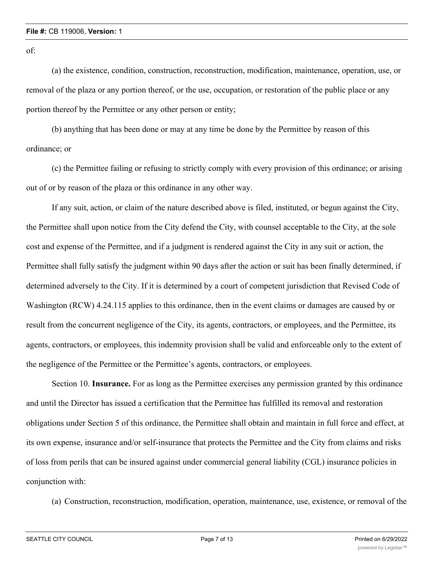of:

(a) the existence, condition, construction, reconstruction, modification, maintenance, operation, use, or removal of the plaza or any portion thereof, or the use, occupation, or restoration of the public place or any portion thereof by the Permittee or any other person or entity;

(b) anything that has been done or may at any time be done by the Permittee by reason of this ordinance; or

(c) the Permittee failing or refusing to strictly comply with every provision of this ordinance; or arising out of or by reason of the plaza or this ordinance in any other way.

If any suit, action, or claim of the nature described above is filed, instituted, or begun against the City, the Permittee shall upon notice from the City defend the City, with counsel acceptable to the City, at the sole cost and expense of the Permittee, and if a judgment is rendered against the City in any suit or action, the Permittee shall fully satisfy the judgment within 90 days after the action or suit has been finally determined, if determined adversely to the City. If it is determined by a court of competent jurisdiction that Revised Code of Washington (RCW) 4.24.115 applies to this ordinance, then in the event claims or damages are caused by or result from the concurrent negligence of the City, its agents, contractors, or employees, and the Permittee, its agents, contractors, or employees, this indemnity provision shall be valid and enforceable only to the extent of the negligence of the Permittee or the Permittee's agents, contractors, or employees.

Section 10. **Insurance.** For as long as the Permittee exercises any permission granted by this ordinance and until the Director has issued a certification that the Permittee has fulfilled its removal and restoration obligations under Section 5 of this ordinance, the Permittee shall obtain and maintain in full force and effect, at its own expense, insurance and/or self-insurance that protects the Permittee and the City from claims and risks of loss from perils that can be insured against under commercial general liability (CGL) insurance policies in conjunction with:

(a) Construction, reconstruction, modification, operation, maintenance, use, existence, or removal of the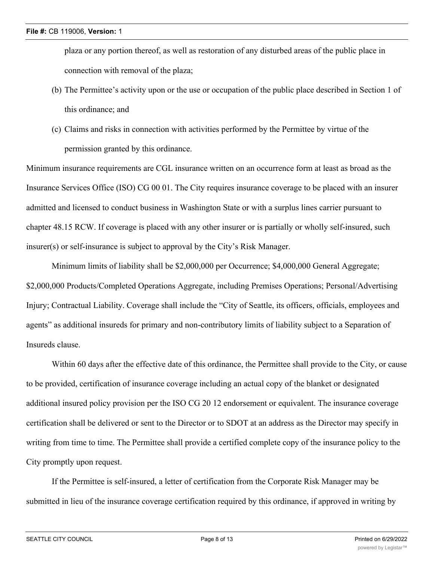plaza or any portion thereof, as well as restoration of any disturbed areas of the public place in connection with removal of the plaza;

- (b) The Permittee's activity upon or the use or occupation of the public place described in Section 1 of this ordinance; and
- (c) Claims and risks in connection with activities performed by the Permittee by virtue of the permission granted by this ordinance.

Minimum insurance requirements are CGL insurance written on an occurrence form at least as broad as the Insurance Services Office (ISO) CG 00 01. The City requires insurance coverage to be placed with an insurer admitted and licensed to conduct business in Washington State or with a surplus lines carrier pursuant to chapter 48.15 RCW. If coverage is placed with any other insurer or is partially or wholly self-insured, such insurer(s) or self-insurance is subject to approval by the City's Risk Manager.

Minimum limits of liability shall be \$2,000,000 per Occurrence; \$4,000,000 General Aggregate; \$2,000,000 Products/Completed Operations Aggregate, including Premises Operations; Personal/Advertising Injury; Contractual Liability. Coverage shall include the "City of Seattle, its officers, officials, employees and agents" as additional insureds for primary and non-contributory limits of liability subject to a Separation of Insureds clause.

Within 60 days after the effective date of this ordinance, the Permittee shall provide to the City, or cause to be provided, certification of insurance coverage including an actual copy of the blanket or designated additional insured policy provision per the ISO CG 20 12 endorsement or equivalent. The insurance coverage certification shall be delivered or sent to the Director or to SDOT at an address as the Director may specify in writing from time to time. The Permittee shall provide a certified complete copy of the insurance policy to the City promptly upon request.

If the Permittee is self-insured, a letter of certification from the Corporate Risk Manager may be submitted in lieu of the insurance coverage certification required by this ordinance, if approved in writing by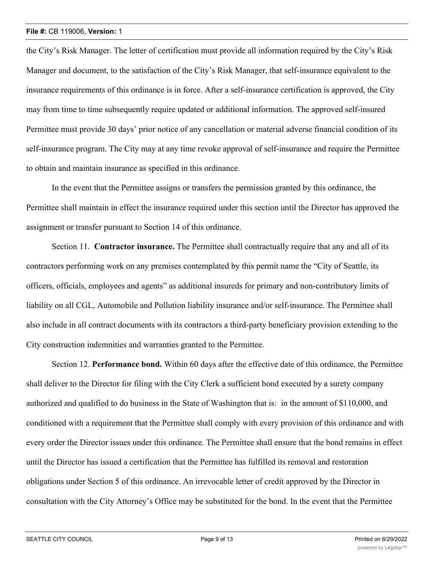the City's Risk Manager. The letter of certification must provide all information required by the City's Risk Manager and document, to the satisfaction of the City's Risk Manager, that self-insurance equivalent to the insurance requirements of this ordinance is in force. After a self-insurance certification is approved, the City may from time to time subsequently require updated or additional information. The approved self-insured Permittee must provide 30 days' prior notice of any cancellation or material adverse financial condition of its self-insurance program. The City may at any time revoke approval of self-insurance and require the Permittee to obtain and maintain insurance as specified in this ordinance.

In the event that the Permittee assigns or transfers the permission granted by this ordinance, the Permittee shall maintain in effect the insurance required under this section until the Director has approved the assignment or transfer pursuant to Section 14 of this ordinance.

Section 11. **Contractor insurance.** The Permittee shall contractually require that any and all of its contractors performing work on any premises contemplated by this permit name the "City of Seattle, its officers, officials, employees and agents" as additional insureds for primary and non-contributory limits of liability on all CGL, Automobile and Pollution liability insurance and/or self-insurance. The Permittee shall also include in all contract documents with its contractors a third-party beneficiary provision extending to the City construction indemnities and warranties granted to the Permittee.

Section 12. **Performance bond.** Within 60 days after the effective date of this ordinance, the Permittee shall deliver to the Director for filing with the City Clerk a sufficient bond executed by a surety company authorized and qualified to do business in the State of Washington that is: in the amount of \$110,000, and conditioned with a requirement that the Permittee shall comply with every provision of this ordinance and with every order the Director issues under this ordinance. The Permittee shall ensure that the bond remains in effect until the Director has issued a certification that the Permittee has fulfilled its removal and restoration obligations under Section 5 of this ordinance. An irrevocable letter of credit approved by the Director in consultation with the City Attorney's Office may be substituted for the bond. In the event that the Permittee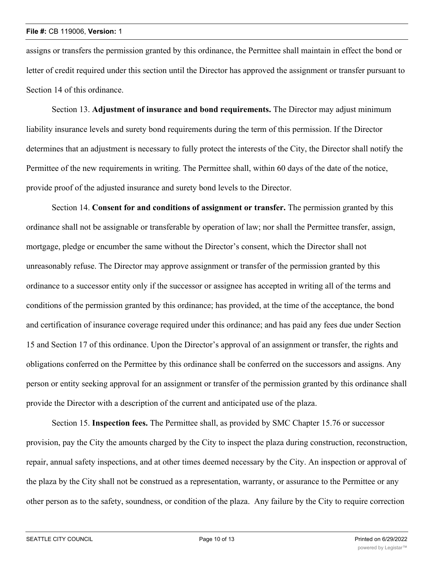assigns or transfers the permission granted by this ordinance, the Permittee shall maintain in effect the bond or letter of credit required under this section until the Director has approved the assignment or transfer pursuant to Section 14 of this ordinance.

Section 13. **Adjustment of insurance and bond requirements.** The Director may adjust minimum liability insurance levels and surety bond requirements during the term of this permission. If the Director determines that an adjustment is necessary to fully protect the interests of the City, the Director shall notify the Permittee of the new requirements in writing. The Permittee shall, within 60 days of the date of the notice, provide proof of the adjusted insurance and surety bond levels to the Director.

Section 14. **Consent for and conditions of assignment or transfer.** The permission granted by this ordinance shall not be assignable or transferable by operation of law; nor shall the Permittee transfer, assign, mortgage, pledge or encumber the same without the Director's consent, which the Director shall not unreasonably refuse. The Director may approve assignment or transfer of the permission granted by this ordinance to a successor entity only if the successor or assignee has accepted in writing all of the terms and conditions of the permission granted by this ordinance; has provided, at the time of the acceptance, the bond and certification of insurance coverage required under this ordinance; and has paid any fees due under Section 15 and Section 17 of this ordinance. Upon the Director's approval of an assignment or transfer, the rights and obligations conferred on the Permittee by this ordinance shall be conferred on the successors and assigns. Any person or entity seeking approval for an assignment or transfer of the permission granted by this ordinance shall provide the Director with a description of the current and anticipated use of the plaza.

Section 15. **Inspection fees.** The Permittee shall, as provided by SMC Chapter 15.76 or successor provision, pay the City the amounts charged by the City to inspect the plaza during construction, reconstruction, repair, annual safety inspections, and at other times deemed necessary by the City. An inspection or approval of the plaza by the City shall not be construed as a representation, warranty, or assurance to the Permittee or any other person as to the safety, soundness, or condition of the plaza. Any failure by the City to require correction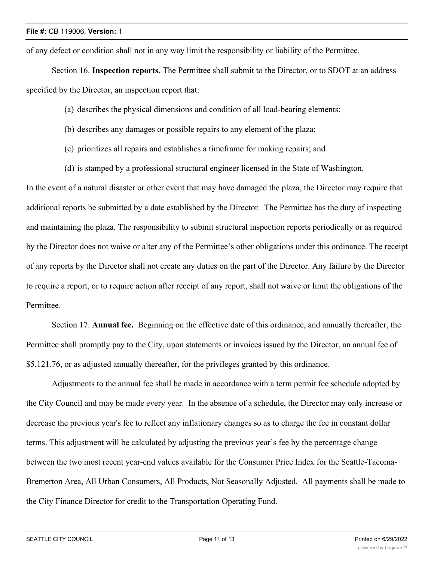of any defect or condition shall not in any way limit the responsibility or liability of the Permittee.

Section 16. **Inspection reports.** The Permittee shall submit to the Director, or to SDOT at an address specified by the Director, an inspection report that:

- (a) describes the physical dimensions and condition of all load-bearing elements;
- (b) describes any damages or possible repairs to any element of the plaza;
- (c) prioritizes all repairs and establishes a timeframe for making repairs; and
- (d) is stamped by a professional structural engineer licensed in the State of Washington.

In the event of a natural disaster or other event that may have damaged the plaza, the Director may require that additional reports be submitted by a date established by the Director. The Permittee has the duty of inspecting and maintaining the plaza. The responsibility to submit structural inspection reports periodically or as required by the Director does not waive or alter any of the Permittee's other obligations under this ordinance. The receipt of any reports by the Director shall not create any duties on the part of the Director. Any failure by the Director to require a report, or to require action after receipt of any report, shall not waive or limit the obligations of the Permittee.

Section 17. **Annual fee.** Beginning on the effective date of this ordinance, and annually thereafter, the Permittee shall promptly pay to the City, upon statements or invoices issued by the Director, an annual fee of \$5,121.76, or as adjusted annually thereafter, for the privileges granted by this ordinance.

Adjustments to the annual fee shall be made in accordance with a term permit fee schedule adopted by the City Council and may be made every year. In the absence of a schedule, the Director may only increase or decrease the previous year's fee to reflect any inflationary changes so as to charge the fee in constant dollar terms. This adjustment will be calculated by adjusting the previous year's fee by the percentage change between the two most recent year-end values available for the Consumer Price Index for the Seattle-Tacoma-Bremerton Area, All Urban Consumers, All Products, Not Seasonally Adjusted. All payments shall be made to the City Finance Director for credit to the Transportation Operating Fund.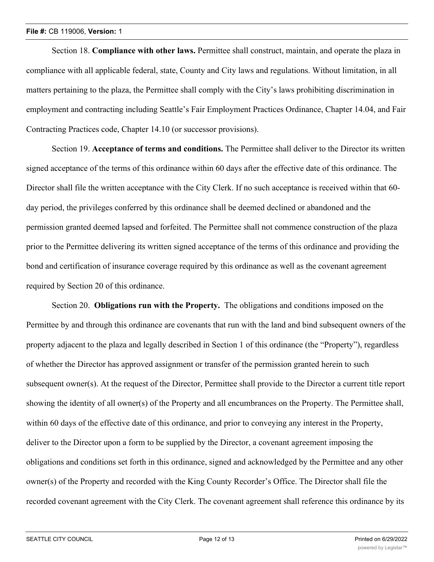#### **File #:** CB 119006, **Version:** 1

Section 18. **Compliance with other laws.** Permittee shall construct, maintain, and operate the plaza in compliance with all applicable federal, state, County and City laws and regulations. Without limitation, in all matters pertaining to the plaza, the Permittee shall comply with the City's laws prohibiting discrimination in employment and contracting including Seattle's Fair Employment Practices Ordinance, Chapter 14.04, and Fair Contracting Practices code, Chapter 14.10 (or successor provisions).

Section 19. **Acceptance of terms and conditions.** The Permittee shall deliver to the Director its written signed acceptance of the terms of this ordinance within 60 days after the effective date of this ordinance. The Director shall file the written acceptance with the City Clerk. If no such acceptance is received within that 60 day period, the privileges conferred by this ordinance shall be deemed declined or abandoned and the permission granted deemed lapsed and forfeited. The Permittee shall not commence construction of the plaza prior to the Permittee delivering its written signed acceptance of the terms of this ordinance and providing the bond and certification of insurance coverage required by this ordinance as well as the covenant agreement required by Section 20 of this ordinance.

Section 20. **Obligations run with the Property.** The obligations and conditions imposed on the Permittee by and through this ordinance are covenants that run with the land and bind subsequent owners of the property adjacent to the plaza and legally described in Section 1 of this ordinance (the "Property"), regardless of whether the Director has approved assignment or transfer of the permission granted herein to such subsequent owner(s). At the request of the Director, Permittee shall provide to the Director a current title report showing the identity of all owner(s) of the Property and all encumbrances on the Property. The Permittee shall, within 60 days of the effective date of this ordinance, and prior to conveying any interest in the Property, deliver to the Director upon a form to be supplied by the Director, a covenant agreement imposing the obligations and conditions set forth in this ordinance, signed and acknowledged by the Permittee and any other owner(s) of the Property and recorded with the King County Recorder's Office. The Director shall file the recorded covenant agreement with the City Clerk. The covenant agreement shall reference this ordinance by its